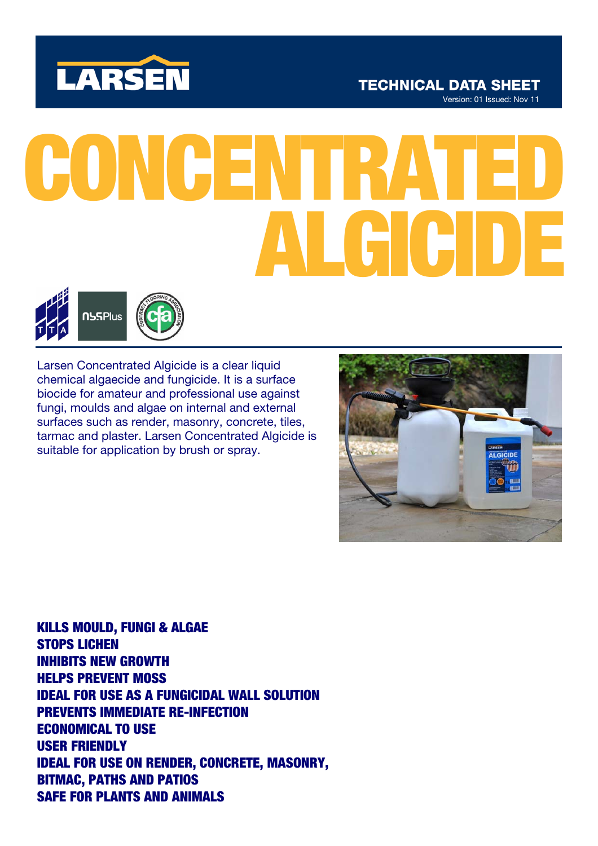

# **TECHNICAL DATA SHEET**

Version: 01 Issued: Nov 11

# CONCENTRA ALGICIDE



Larsen Concentrated Algicide is a clear liquid chemical algaecide and fungicide. It is a surface biocide for amateur and professional use against fungi, moulds and algae on internal and external surfaces such as render, masonry, concrete, tiles, tarmac and plaster. Larsen Concentrated Algicide is suitable for application by brush or spray.



KILLS MOULD, FUNGI & ALGAE STOPS LICHEN INHIBITS NEW GROWTH HELPS PREVENT MOSS IDEAL FOR USE AS A FUNGICIDAL WALL SOLUTION PREVENTS IMMEDIATE RE-INFECTION ECONOMICAL TO USE USER FRIENDLY IDEAL FOR USE ON RENDER, CONCRETE, MASONRY, BITMAC, PATHS AND PATIOS SAFE FOR PLANTS AND ANIMALS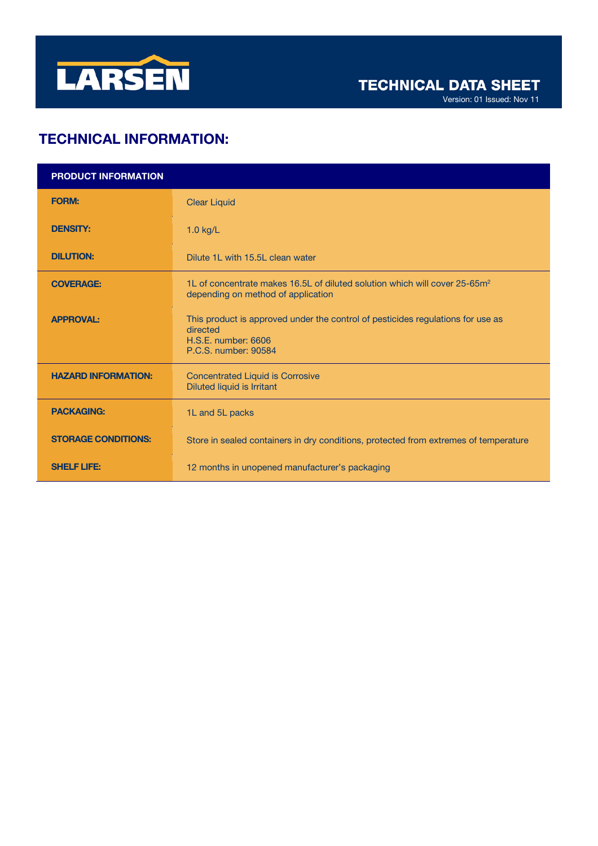

# TECHNICAL INFORMATION:

| <b>PRODUCT INFORMATION</b> |                                                                                                                                            |
|----------------------------|--------------------------------------------------------------------------------------------------------------------------------------------|
| <b>FORM:</b>               | <b>Clear Liquid</b>                                                                                                                        |
| <b>DENSITY:</b>            | $1.0$ kg/L                                                                                                                                 |
| <b>DILUTION:</b>           | Dilute 1L with 15.5L clean water                                                                                                           |
| <b>COVERAGE:</b>           | 1L of concentrate makes 16.5L of diluted solution which will cover 25-65m <sup>2</sup><br>depending on method of application               |
| <b>APPROVAL:</b>           | This product is approved under the control of pesticides regulations for use as<br>directed<br>H.S.E. number: 6606<br>P.C.S. number: 90584 |
| <b>HAZARD INFORMATION:</b> | <b>Concentrated Liquid is Corrosive</b><br><b>Diluted liquid is Irritant</b>                                                               |
| <b>PACKAGING:</b>          | 1L and 5L packs                                                                                                                            |
| <b>STORAGE CONDITIONS:</b> | Store in sealed containers in dry conditions, protected from extremes of temperature                                                       |
| <b>SHELF LIFE:</b>         | 12 months in unopened manufacturer's packaging                                                                                             |